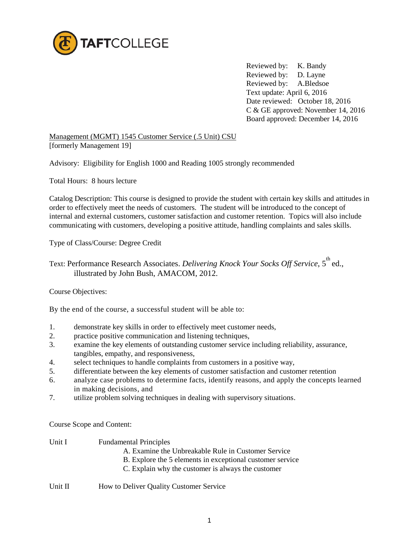

Reviewed by: K. Bandy Reviewed by: D. Layne Reviewed by: A.Bledsoe Text update: April 6, 2016 Date reviewed: October 18, 2016 C & GE approved: November 14, 2016 Board approved: December 14, 2016

Management (MGMT) 1545 Customer Service (.5 Unit) CSU [formerly Management 19]

Advisory: Eligibility for English 1000 and Reading 1005 strongly recommended

Total Hours: 8 hours lecture

Catalog Description: This course is designed to provide the student with certain key skills and attitudes in order to effectively meet the needs of customers. The student will be introduced to the concept of internal and external customers, customer satisfaction and customer retention. Topics will also include communicating with customers, developing a positive attitude, handling complaints and sales skills.

Type of Class/Course: Degree Credit

Text: Performance Research Associates. *Delivering Knock Your Socks Off Service*, 5<sup>th</sup> ed., illustrated by John Bush, AMACOM, 2012.

Course Objectives:

By the end of the course, a successful student will be able to:

- 1. demonstrate key skills in order to effectively meet customer needs,
- 2. practice positive communication and listening techniques,
- 3. examine the key elements of outstanding customer service including reliability, assurance, tangibles, empathy, and responsiveness,
- 4. select techniques to handle complaints from customers in a positive way,
- 5. differentiate between the key elements of customer satisfaction and customer retention
- 6. analyze case problems to determine facts, identify reasons, and apply the concepts learned in making decisions, and
- 7. utilize problem solving techniques in dealing with supervisory situations.

Course Scope and Content:

| Unit I  | <b>Fundamental Principles</b>                             |
|---------|-----------------------------------------------------------|
|         | A. Examine the Unbreakable Rule in Customer Service       |
|         | B. Explore the 5 elements in exceptional customer service |
|         | C. Explain why the customer is always the customer        |
|         |                                                           |
| Unit II | How to Deliver Quality Customer Service                   |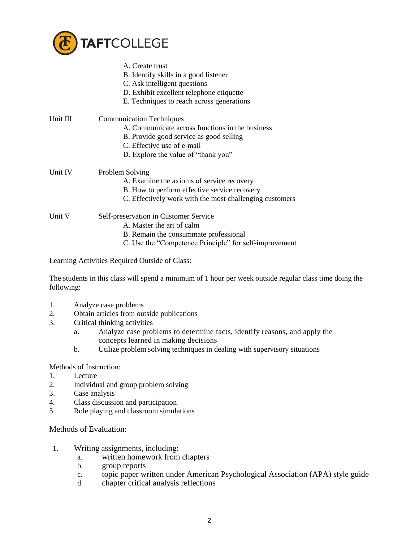

|          | A. Create trust                                         |
|----------|---------------------------------------------------------|
|          | B. Identify skills in a good listener                   |
|          | C. Ask intelligent questions                            |
|          | D. Exhibit excellent telephone etiquette                |
|          | E. Techniques to reach across generations               |
| Unit III | <b>Communication Techniques</b>                         |
|          | A. Communicate across functions in the business         |
|          | B. Provide good service as good selling                 |
|          | C. Effective use of e-mail                              |
|          | D. Explore the value of "thank you"                     |
| Unit IV  | Problem Solving                                         |
|          | A. Examine the axioms of service recovery               |
|          | B. How to perform effective service recovery            |
|          | C. Effectively work with the most challenging customers |
| Unit V   | Self-preservation in Customer Service                   |
|          | A. Master the art of calm                               |
|          | B. Remain the consummate professional                   |
|          | C. Use the "Competence Principle" for self-improvement  |

Learning Activities Required Outside of Class:

The students in this class will spend a minimum of 1 hour per week outside regular class time doing the following:

- 1. Analyze case problems
- 2. Obtain articles from outside publications
- 3. Critical thinking activities
	- a. Analyze case problems to determine facts, identify reasons, and apply the concepts learned in making decisions
	- b. Utilize problem solving techniques in dealing with supervisory situations

## Methods of Instruction:

- 1. Lecture
- 2. Individual and group problem solving
- 3. Case analysis
- 4. Class discussion and participation<br>5. Role playing and classroom simular
- 5. Role playing and classroom simulations

Methods of Evaluation:

- 1. Writing assignments, including:
	- a. written homework from chapters
	- b. group reports
	- c. topic paper written under American Psychological Association (APA) style guide
	- d. chapter critical analysis reflections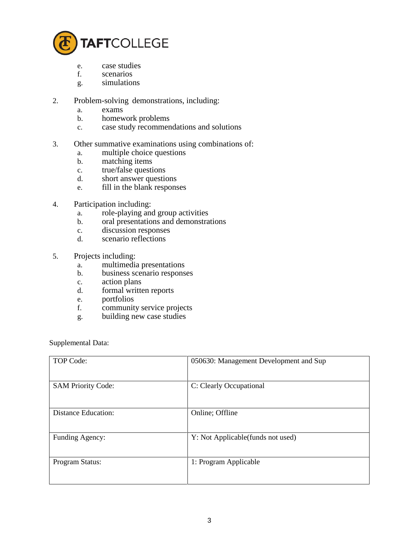

- e. case studies
- f. scenarios
- g. simulations
- 2. Problem-solving demonstrations, including:
	- a. exams
	- b. homework problems
	- c. case study recommendations and solutions
- 3. Other summative examinations using combinations of:
	- a. multiple choice questions
	- b. matching items
	- c. true/false questions
	- d. short answer questions
	- e. fill in the blank responses
- 4. Participation including:
	- a. role-playing and group activities
	- b. oral presentations and demonstrations
	- c. discussion responses
	- d. scenario reflections
- 5. Projects including:
	- a. multimedia presentations
	- b. business scenario responses
	- c. action plans
	- d. formal written reports
	- e. portfolios
	- f. community service projects
	- g. building new case studies

Supplemental Data:

| TOP Code:                  | 050630: Management Development and Sup |
|----------------------------|----------------------------------------|
| <b>SAM Priority Code:</b>  | C: Clearly Occupational                |
| <b>Distance Education:</b> | Online; Offline                        |
| Funding Agency:            | Y: Not Applicable(funds not used)      |
| Program Status:            | 1: Program Applicable                  |